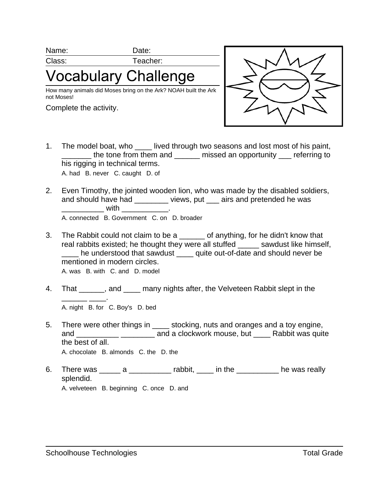Name: Date:

Class: Teacher:

## **'ocabulary Challenge**

How many animals did Moses bring on the Ark? NOAH built the Ark not Moses!

Complete the activity.



- 1. The model boat, who \_\_\_\_ lived through two seasons and lost most of his paint, The tone from them and **the missed an opportunity** referring to his rigging in technical terms. A. had B. never C. caught D. of
- 2. Even Timothy, the jointed wooden lion, who was made by the disabled soldiers, and should have had \_\_\_\_\_\_\_\_ views, put \_\_\_ airs and pretended he was  $\blacksquare$  with  $\blacksquare$ A. connected B. Government C. on D. broader
- 3. The Rabbit could not claim to be a contract of anything, for he didn't know that real rabbits existed; he thought they were all stuffed \_\_\_\_\_ sawdust like himself, \_\_\_\_ he understood that sawdust \_\_\_\_ quite out-of-date and should never be mentioned in modern circles. A. was B. with C. and D. model
- 
- 4. That \_\_\_\_\_\_, and \_\_\_\_ many nights after, the Velveteen Rabbit slept in the \_\_\_\_\_\_ \_\_\_\_. A. night B. for C. Boy's D. bed
- 5. There were other things in satisfactured and oranges and a toy engine, and \_\_\_\_\_\_\_\_\_\_ \_\_\_\_\_\_\_\_ and a clockwork mouse, but \_\_\_\_ Rabbit was quite the best of all. A. chocolate B. almonds C. the D. the
- 6. There was \_\_\_\_\_\_ a \_\_\_\_\_\_\_\_\_\_\_\_ rabbit, \_\_\_\_ in the \_\_\_\_\_\_\_\_\_\_\_\_ he was really splendid. A. velveteen B. beginning C. once D. and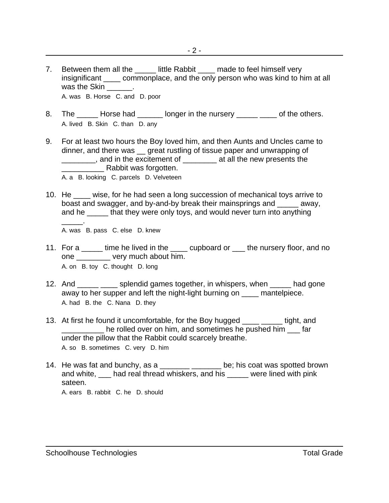- 7. Between them all the \_\_\_\_\_\_ little Rabbit \_\_\_\_ made to feel himself very insignificant commonplace, and the only person who was kind to him at all was the Skin \_\_\_\_\_\_\_. A. was B. Horse C. and D. poor
- 8. The \_\_\_\_\_ Horse had \_\_\_\_\_\_ longer in the nursery \_\_\_\_\_ \_\_\_\_ of the others. A. lived B. Skin C. than D. any
- 9. For at least two hours the Boy loved him, and then Aunts and Uncles came to dinner, and there was great rustling of tissue paper and unwrapping of \_\_\_\_\_\_\_\_, and in the excitement of \_\_\_\_\_\_\_\_ at all the new presents the Rabbit was forgotten.
	- A. a B. looking C. parcels D. Velveteen
- 10. He \_\_\_\_ wise, for he had seen a long succession of mechanical toys arrive to boast and swagger, and by-and-by break their mainsprings and \_\_\_\_\_ away, and he that they were only toys, and would never turn into anything \_\_\_\_\_. A. was B. pass C. else D. knew
- 11. For a \_\_\_\_\_ time he lived in the \_\_\_\_ cupboard or \_\_\_ the nursery floor, and no one very much about him. A. on B. toy C. thought D. long
- 12. And splendid games together, in whispers, when had gone away to her supper and left the night-light burning on \_\_\_\_ mantelpiece. A. had B. the C. Nana D. they
- 13. At first he found it uncomfortable, for the Boy hugged \_\_\_\_ \_\_\_\_\_ tight, and he rolled over on him, and sometimes he pushed him far under the pillow that the Rabbit could scarcely breathe. A. so B. sometimes C. very D. him
- 14. He was fat and bunchy, as a \_\_\_\_\_\_\_\_\_\_\_\_\_\_\_\_\_\_ be; his coat was spotted brown and white,  $\Box$  had real thread whiskers, and his  $\Box$  were lined with pink sateen. A. ears B. rabbit C. he D. should